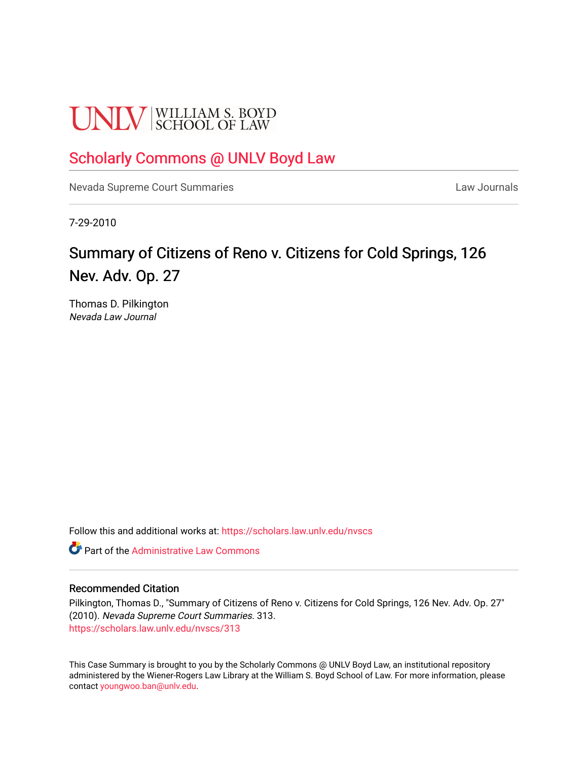# **UNLV** SCHOOL OF LAW

# [Scholarly Commons @ UNLV Boyd Law](https://scholars.law.unlv.edu/)

[Nevada Supreme Court Summaries](https://scholars.law.unlv.edu/nvscs) **Law Journals** Law Journals

7-29-2010

# Summary of Citizens of Reno v. Citizens for Cold Springs, 126 Nev. Adv. Op. 27

Thomas D. Pilkington Nevada Law Journal

Follow this and additional works at: [https://scholars.law.unlv.edu/nvscs](https://scholars.law.unlv.edu/nvscs?utm_source=scholars.law.unlv.edu%2Fnvscs%2F313&utm_medium=PDF&utm_campaign=PDFCoverPages)

**C** Part of the Administrative Law Commons

#### Recommended Citation

Pilkington, Thomas D., "Summary of Citizens of Reno v. Citizens for Cold Springs, 126 Nev. Adv. Op. 27" (2010). Nevada Supreme Court Summaries. 313. [https://scholars.law.unlv.edu/nvscs/313](https://scholars.law.unlv.edu/nvscs/313?utm_source=scholars.law.unlv.edu%2Fnvscs%2F313&utm_medium=PDF&utm_campaign=PDFCoverPages)

This Case Summary is brought to you by the Scholarly Commons @ UNLV Boyd Law, an institutional repository administered by the Wiener-Rogers Law Library at the William S. Boyd School of Law. For more information, please contact [youngwoo.ban@unlv.edu](mailto:youngwoo.ban@unlv.edu).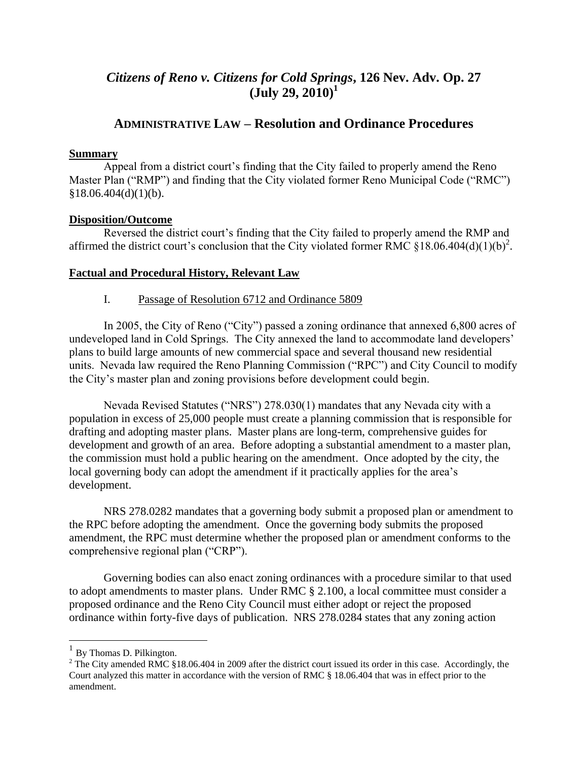# *Citizens of Reno v. Citizens for Cold Springs***, 126 Nev. Adv. Op. 27 (July 29, 2010)<sup>1</sup>**

# **ADMINISTRATIVE LAW – Resolution and Ordinance Procedures**

# **Summary**

Appeal from a district court's finding that the City failed to properly amend the Reno Master Plan ("RMP") and finding that the City violated former Reno Municipal Code ("RMC")  $§18.06.404(d)(1)(b).$ 

# **Disposition/Outcome**

Reversed the district court's finding that the City failed to properly amend the RMP and affirmed the district court's conclusion that the City violated former RMC §18.06.404(d)(1)(b)<sup>2</sup>.

# **Factual and Procedural History, Relevant Law**

# I. Passage of Resolution 6712 and Ordinance 5809

In 2005, the City of Reno ("City") passed a zoning ordinance that annexed 6,800 acres of undeveloped land in Cold Springs. The City annexed the land to accommodate land developers' plans to build large amounts of new commercial space and several thousand new residential units. Nevada law required the Reno Planning Commission ("RPC") and City Council to modify the City's master plan and zoning provisions before development could begin.

Nevada Revised Statutes ("NRS") 278.030(1) mandates that any Nevada city with a population in excess of 25,000 people must create a planning commission that is responsible for drafting and adopting master plans. Master plans are long-term, comprehensive guides for development and growth of an area. Before adopting a substantial amendment to a master plan, the commission must hold a public hearing on the amendment. Once adopted by the city, the local governing body can adopt the amendment if it practically applies for the area's development.

NRS 278.0282 mandates that a governing body submit a proposed plan or amendment to the RPC before adopting the amendment. Once the governing body submits the proposed amendment, the RPC must determine whether the proposed plan or amendment conforms to the comprehensive regional plan ("CRP").

Governing bodies can also enact zoning ordinances with a procedure similar to that used to adopt amendments to master plans. Under RMC § 2.100, a local committee must consider a proposed ordinance and the Reno City Council must either adopt or reject the proposed ordinance within forty-five days of publication. NRS 278.0284 states that any zoning action

<sup>&</sup>lt;sup>1</sup> By Thomas D. Pilkington.

 $2$  The City amended RMC §18.06.404 in 2009 after the district court issued its order in this case. Accordingly, the Court analyzed this matter in accordance with the version of RMC § 18.06.404 that was in effect prior to the amendment.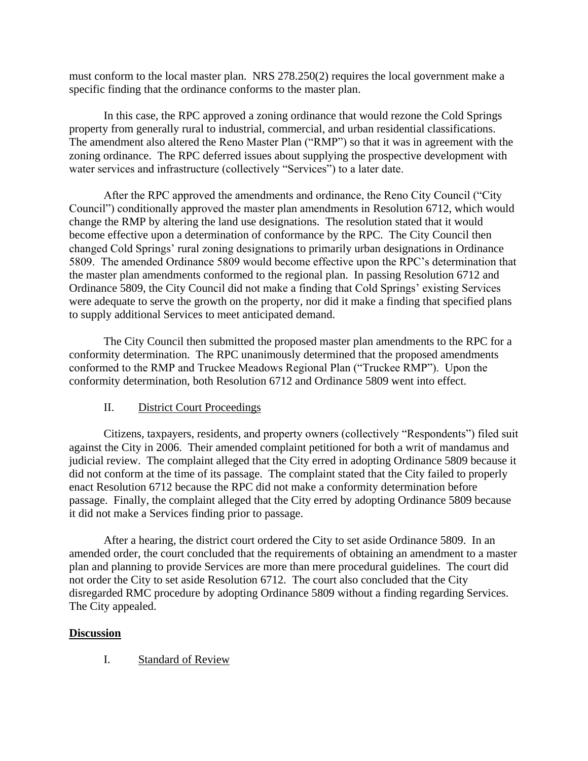must conform to the local master plan. NRS 278.250(2) requires the local government make a specific finding that the ordinance conforms to the master plan.

In this case, the RPC approved a zoning ordinance that would rezone the Cold Springs property from generally rural to industrial, commercial, and urban residential classifications. The amendment also altered the Reno Master Plan ("RMP") so that it was in agreement with the zoning ordinance. The RPC deferred issues about supplying the prospective development with water services and infrastructure (collectively "Services") to a later date.

After the RPC approved the amendments and ordinance, the Reno City Council ("City Council") conditionally approved the master plan amendments in Resolution 6712, which would change the RMP by altering the land use designations. The resolution stated that it would become effective upon a determination of conformance by the RPC. The City Council then changed Cold Springs' rural zoning designations to primarily urban designations in Ordinance 5809. The amended Ordinance 5809 would become effective upon the RPC's determination that the master plan amendments conformed to the regional plan. In passing Resolution 6712 and Ordinance 5809, the City Council did not make a finding that Cold Springs' existing Services were adequate to serve the growth on the property, nor did it make a finding that specified plans to supply additional Services to meet anticipated demand.

The City Council then submitted the proposed master plan amendments to the RPC for a conformity determination. The RPC unanimously determined that the proposed amendments conformed to the RMP and Truckee Meadows Regional Plan ("Truckee RMP"). Upon the conformity determination, both Resolution 6712 and Ordinance 5809 went into effect.

# II. District Court Proceedings

Citizens, taxpayers, residents, and property owners (collectively "Respondents") filed suit against the City in 2006. Their amended complaint petitioned for both a writ of mandamus and judicial review. The complaint alleged that the City erred in adopting Ordinance 5809 because it did not conform at the time of its passage. The complaint stated that the City failed to properly enact Resolution 6712 because the RPC did not make a conformity determination before passage. Finally, the complaint alleged that the City erred by adopting Ordinance 5809 because it did not make a Services finding prior to passage.

After a hearing, the district court ordered the City to set aside Ordinance 5809. In an amended order, the court concluded that the requirements of obtaining an amendment to a master plan and planning to provide Services are more than mere procedural guidelines. The court did not order the City to set aside Resolution 6712. The court also concluded that the City disregarded RMC procedure by adopting Ordinance 5809 without a finding regarding Services. The City appealed.

# **Discussion**

I. Standard of Review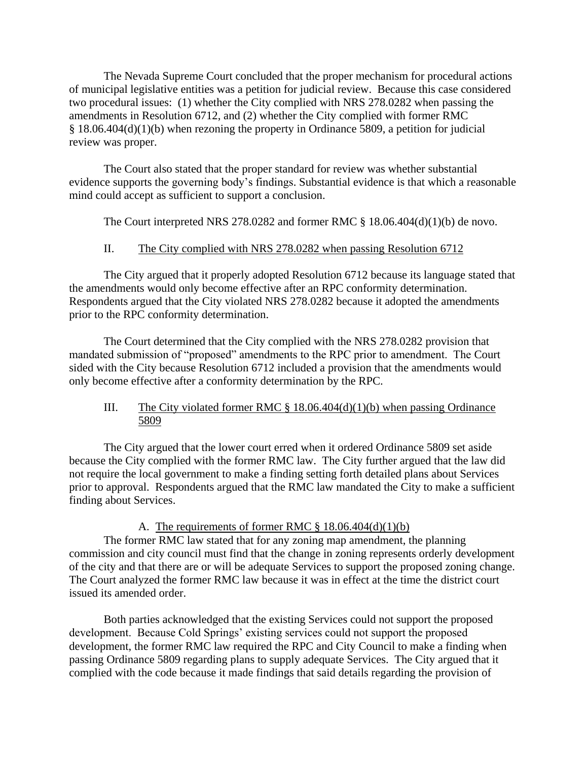The Nevada Supreme Court concluded that the proper mechanism for procedural actions of municipal legislative entities was a petition for judicial review. Because this case considered two procedural issues: (1) whether the City complied with NRS 278.0282 when passing the amendments in Resolution 6712, and (2) whether the City complied with former RMC § 18.06.404(d)(1)(b) when rezoning the property in Ordinance 5809, a petition for judicial review was proper.

The Court also stated that the proper standard for review was whether substantial evidence supports the governing body's findings. Substantial evidence is that which a reasonable mind could accept as sufficient to support a conclusion.

The Court interpreted NRS 278.0282 and former RMC § 18.06.404(d)(1)(b) de novo.

### II. The City complied with NRS 278.0282 when passing Resolution 6712

The City argued that it properly adopted Resolution 6712 because its language stated that the amendments would only become effective after an RPC conformity determination. Respondents argued that the City violated NRS 278.0282 because it adopted the amendments prior to the RPC conformity determination.

The Court determined that the City complied with the NRS 278.0282 provision that mandated submission of "proposed" amendments to the RPC prior to amendment. The Court sided with the City because Resolution 6712 included a provision that the amendments would only become effective after a conformity determination by the RPC.

### III. The City violated former RMC  $\S$  18.06.404(d)(1)(b) when passing Ordinance 5809

The City argued that the lower court erred when it ordered Ordinance 5809 set aside because the City complied with the former RMC law. The City further argued that the law did not require the local government to make a finding setting forth detailed plans about Services prior to approval. Respondents argued that the RMC law mandated the City to make a sufficient finding about Services.

#### A. The requirements of former RMC  $\S$  18.06.404(d)(1)(b)

The former RMC law stated that for any zoning map amendment, the planning commission and city council must find that the change in zoning represents orderly development of the city and that there are or will be adequate Services to support the proposed zoning change. The Court analyzed the former RMC law because it was in effect at the time the district court issued its amended order.

Both parties acknowledged that the existing Services could not support the proposed development. Because Cold Springs' existing services could not support the proposed development, the former RMC law required the RPC and City Council to make a finding when passing Ordinance 5809 regarding plans to supply adequate Services. The City argued that it complied with the code because it made findings that said details regarding the provision of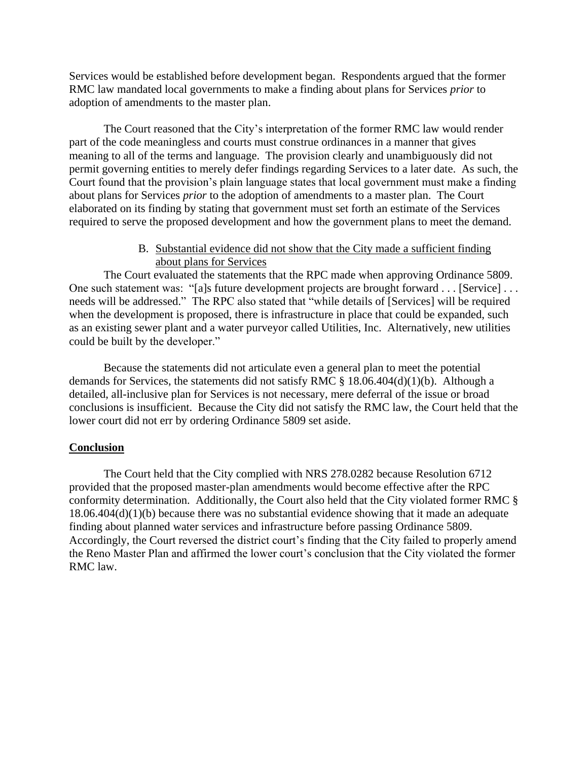Services would be established before development began. Respondents argued that the former RMC law mandated local governments to make a finding about plans for Services *prior* to adoption of amendments to the master plan.

The Court reasoned that the City's interpretation of the former RMC law would render part of the code meaningless and courts must construe ordinances in a manner that gives meaning to all of the terms and language. The provision clearly and unambiguously did not permit governing entities to merely defer findings regarding Services to a later date. As such, the Court found that the provision's plain language states that local government must make a finding about plans for Services *prior* to the adoption of amendments to a master plan. The Court elaborated on its finding by stating that government must set forth an estimate of the Services required to serve the proposed development and how the government plans to meet the demand.

> B. Substantial evidence did not show that the City made a sufficient finding about plans for Services

The Court evaluated the statements that the RPC made when approving Ordinance 5809. One such statement was: "[a]s future development projects are brought forward . . . [Service] . . . needs will be addressed." The RPC also stated that "while details of [Services] will be required when the development is proposed, there is infrastructure in place that could be expanded, such as an existing sewer plant and a water purveyor called Utilities, Inc. Alternatively, new utilities could be built by the developer."

Because the statements did not articulate even a general plan to meet the potential demands for Services, the statements did not satisfy RMC § 18.06.404(d)(1)(b). Although a detailed, all-inclusive plan for Services is not necessary, mere deferral of the issue or broad conclusions is insufficient. Because the City did not satisfy the RMC law, the Court held that the lower court did not err by ordering Ordinance 5809 set aside.

# **Conclusion**

The Court held that the City complied with NRS 278.0282 because Resolution 6712 provided that the proposed master-plan amendments would become effective after the RPC conformity determination. Additionally, the Court also held that the City violated former RMC § 18.06.404(d)(1)(b) because there was no substantial evidence showing that it made an adequate finding about planned water services and infrastructure before passing Ordinance 5809. Accordingly, the Court reversed the district court's finding that the City failed to properly amend the Reno Master Plan and affirmed the lower court's conclusion that the City violated the former RMC law.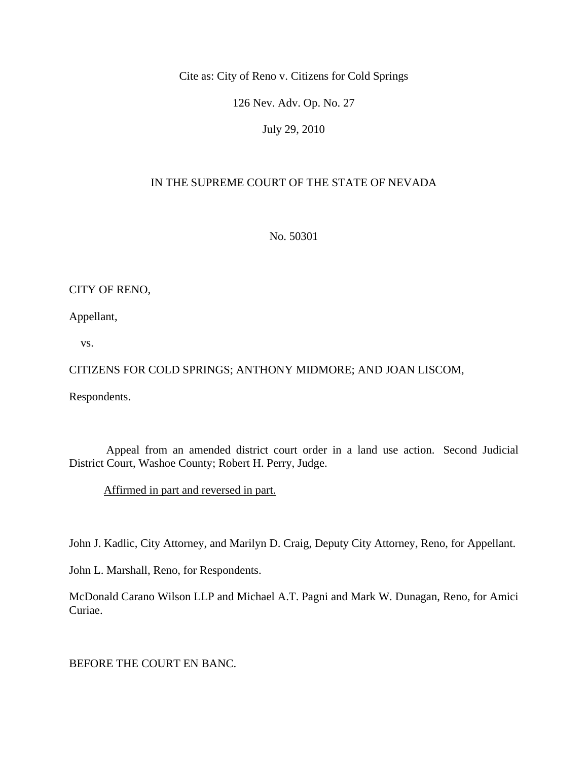Cite as: City of Reno v. Citizens for Cold Springs

126 Nev. Adv. Op. No. 27

July 29, 2010

# IN THE SUPREME COURT OF THE STATE OF NEVADA

No. 50301

# CITY OF RENO,

Appellant,

vs.

CITIZENS FOR COLD SPRINGS; ANTHONY MIDMORE; AND JOAN LISCOM,

Respondents.

 Appeal from an amended district court order in a land use action. Second Judicial District Court, Washoe County; Robert H. Perry, Judge.

Affirmed in part and reversed in part.

John J. Kadlic, City Attorney, and Marilyn D. Craig, Deputy City Attorney, Reno, for Appellant.

John L. Marshall, Reno, for Respondents.

McDonald Carano Wilson LLP and Michael A.T. Pagni and Mark W. Dunagan, Reno, for Amici Curiae.

BEFORE THE COURT EN BANC.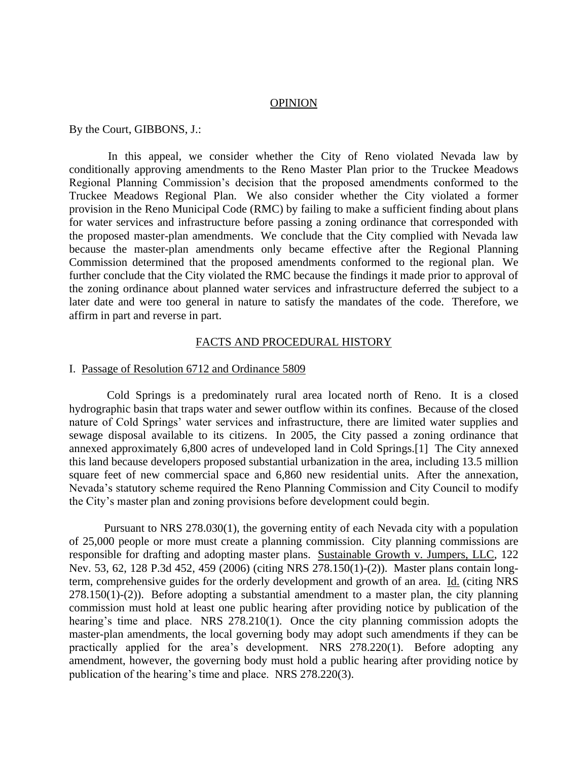#### **OPINION**

By the Court, GIBBONS, J.:

In this appeal, we consider whether the City of Reno violated Nevada law by conditionally approving amendments to the Reno Master Plan prior to the Truckee Meadows Regional Planning Commission's decision that the proposed amendments conformed to the Truckee Meadows Regional Plan. We also consider whether the City violated a former provision in the Reno Municipal Code (RMC) by failing to make a sufficient finding about plans for water services and infrastructure before passing a zoning ordinance that corresponded with the proposed master-plan amendments. We conclude that the City complied with Nevada law because the master-plan amendments only became effective after the Regional Planning Commission determined that the proposed amendments conformed to the regional plan. We further conclude that the City violated the RMC because the findings it made prior to approval of the zoning ordinance about planned water services and infrastructure deferred the subject to a later date and were too general in nature to satisfy the mandates of the code. Therefore, we affirm in part and reverse in part.

#### FACTS AND PROCEDURAL HISTORY

#### I. Passage of Resolution 6712 and Ordinance 5809

 Cold Springs is a predominately rural area located north of Reno. It is a closed hydrographic basin that traps water and sewer outflow within its confines. Because of the closed nature of Cold Springs' water services and infrastructure, there are limited water supplies and sewage disposal available to its citizens. In 2005, the City passed a zoning ordinance that annexed approximately 6,800 acres of undeveloped land in Cold Springs.[1] The City annexed this land because developers proposed substantial urbanization in the area, including 13.5 million square feet of new commercial space and 6,860 new residential units. After the annexation, Nevada's statutory scheme required the Reno Planning Commission and City Council to modify the City's master plan and zoning provisions before development could begin.

 Pursuant to NRS 278.030(1), the governing entity of each Nevada city with a population of 25,000 people or more must create a planning commission. City planning commissions are responsible for drafting and adopting master plans. Sustainable Growth v. Jumpers, LLC, 122 Nev. 53, 62, 128 P.3d 452, 459 (2006) (citing NRS 278.150(1)-(2)). Master plans contain longterm, comprehensive guides for the orderly development and growth of an area. Id. (citing NRS  $278.150(1)-(2)$ ). Before adopting a substantial amendment to a master plan, the city planning commission must hold at least one public hearing after providing notice by publication of the hearing's time and place. NRS 278.210(1). Once the city planning commission adopts the master-plan amendments, the local governing body may adopt such amendments if they can be practically applied for the area's development. NRS 278.220(1). Before adopting any amendment, however, the governing body must hold a public hearing after providing notice by publication of the hearing's time and place. NRS 278.220(3).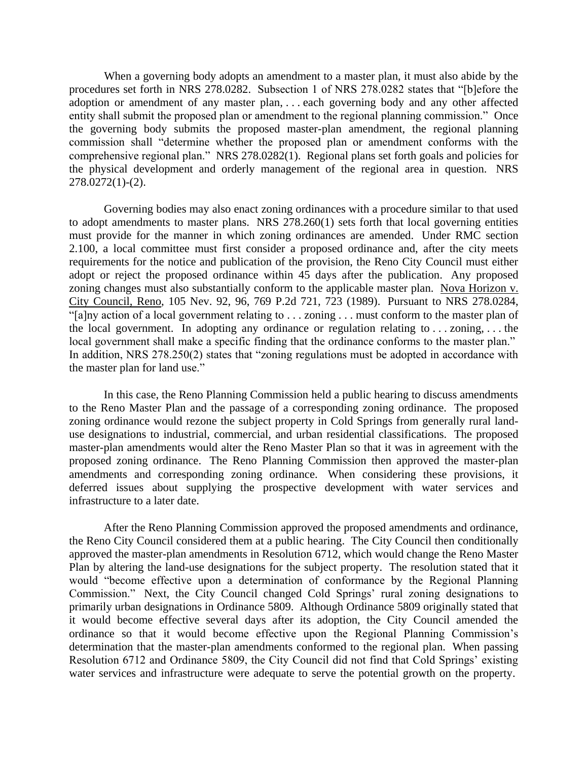When a governing body adopts an amendment to a master plan, it must also abide by the procedures set forth in NRS 278.0282. Subsection 1 of NRS 278.0282 states that "[b]efore the adoption or amendment of any master plan, . . . each governing body and any other affected entity shall submit the proposed plan or amendment to the regional planning commission." Once the governing body submits the proposed master-plan amendment, the regional planning commission shall "determine whether the proposed plan or amendment conforms with the comprehensive regional plan." NRS 278.0282(1). Regional plans set forth goals and policies for the physical development and orderly management of the regional area in question. NRS 278.0272(1)-(2).

 Governing bodies may also enact zoning ordinances with a procedure similar to that used to adopt amendments to master plans. NRS 278.260(1) sets forth that local governing entities must provide for the manner in which zoning ordinances are amended. Under RMC section 2.100, a local committee must first consider a proposed ordinance and, after the city meets requirements for the notice and publication of the provision, the Reno City Council must either adopt or reject the proposed ordinance within 45 days after the publication. Any proposed zoning changes must also substantially conform to the applicable master plan. Nova Horizon v. City Council, Reno, 105 Nev. 92, 96, 769 P.2d 721, 723 (1989). Pursuant to NRS 278.0284,  $\frac{1}{2}$  a  $\frac{1}{2}$  action of a local government relating to . . . zoning . . . must conform to the master plan of the local government. In adopting any ordinance or regulation relating to . . . zoning, . . . the local government shall make a specific finding that the ordinance conforms to the master plan." In addition, NRS 278.250(2) states that "zoning regulations must be adopted in accordance with the master plan for land use."

 In this case, the Reno Planning Commission held a public hearing to discuss amendments to the Reno Master Plan and the passage of a corresponding zoning ordinance. The proposed zoning ordinance would rezone the subject property in Cold Springs from generally rural landuse designations to industrial, commercial, and urban residential classifications. The proposed master-plan amendments would alter the Reno Master Plan so that it was in agreement with the proposed zoning ordinance. The Reno Planning Commission then approved the master-plan amendments and corresponding zoning ordinance. When considering these provisions, it deferred issues about supplying the prospective development with water services and infrastructure to a later date.

 After the Reno Planning Commission approved the proposed amendments and ordinance, the Reno City Council considered them at a public hearing. The City Council then conditionally approved the master-plan amendments in Resolution 6712, which would change the Reno Master Plan by altering the land-use designations for the subject property. The resolution stated that it would "become effective upon a determination of conformance by the Regional Planning Commission." Next, the City Council changed Cold Springs' rural zoning designations to primarily urban designations in Ordinance 5809. Although Ordinance 5809 originally stated that it would become effective several days after its adoption, the City Council amended the ordinance so that it would become effective upon the Regional Planning Commission's determination that the master-plan amendments conformed to the regional plan. When passing Resolution 6712 and Ordinance 5809, the City Council did not find that Cold Springs' existing water services and infrastructure were adequate to serve the potential growth on the property.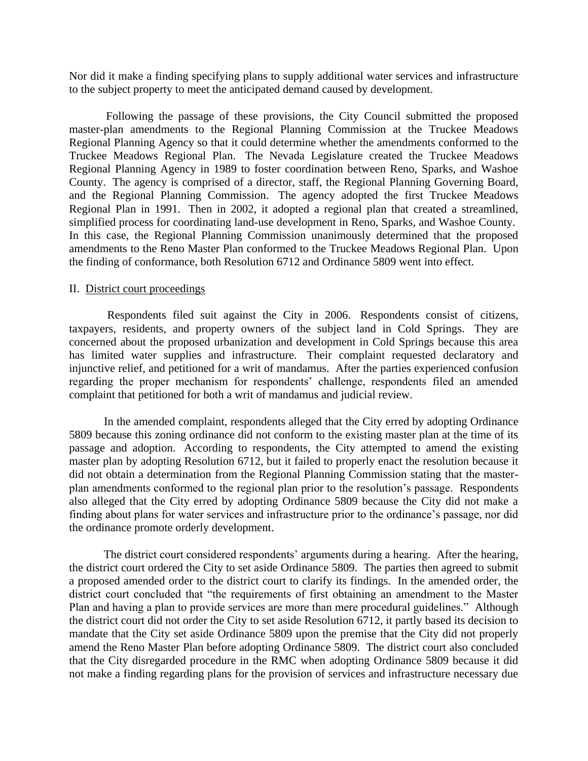Nor did it make a finding specifying plans to supply additional water services and infrastructure to the subject property to meet the anticipated demand caused by development.

 Following the passage of these provisions, the City Council submitted the proposed master-plan amendments to the Regional Planning Commission at the Truckee Meadows Regional Planning Agency so that it could determine whether the amendments conformed to the Truckee Meadows Regional Plan. The Nevada Legislature created the Truckee Meadows Regional Planning Agency in 1989 to foster coordination between Reno, Sparks, and Washoe County. The agency is comprised of a director, staff, the Regional Planning Governing Board, and the Regional Planning Commission. The agency adopted the first Truckee Meadows Regional Plan in 1991. Then in 2002, it adopted a regional plan that created a streamlined, simplified process for coordinating land-use development in Reno, Sparks, and Washoe County. In this case, the Regional Planning Commission unanimously determined that the proposed amendments to the Reno Master Plan conformed to the Truckee Meadows Regional Plan. Upon the finding of conformance, both Resolution 6712 and Ordinance 5809 went into effect.

#### II. District court proceedings

 Respondents filed suit against the City in 2006. Respondents consist of citizens, taxpayers, residents, and property owners of the subject land in Cold Springs. They are concerned about the proposed urbanization and development in Cold Springs because this area has limited water supplies and infrastructure. Their complaint requested declaratory and injunctive relief, and petitioned for a writ of mandamus. After the parties experienced confusion regarding the proper mechanism for respondents' challenge, respondents filed an amended complaint that petitioned for both a writ of mandamus and judicial review.

 In the amended complaint, respondents alleged that the City erred by adopting Ordinance 5809 because this zoning ordinance did not conform to the existing master plan at the time of its passage and adoption. According to respondents, the City attempted to amend the existing master plan by adopting Resolution 6712, but it failed to properly enact the resolution because it did not obtain a determination from the Regional Planning Commission stating that the masterplan amendments conformed to the regional plan prior to the resolution's passage. Respondents also alleged that the City erred by adopting Ordinance 5809 because the City did not make a finding about plans for water services and infrastructure prior to the ordinance's passage, nor did the ordinance promote orderly development.

 The district court considered respondents' arguments during a hearing. After the hearing, the district court ordered the City to set aside Ordinance 5809. The parties then agreed to submit a proposed amended order to the district court to clarify its findings. In the amended order, the district court concluded that "the requirements of first obtaining an amendment to the Master Plan and having a plan to provide services are more than mere procedural guidelines." Although the district court did not order the City to set aside Resolution 6712, it partly based its decision to mandate that the City set aside Ordinance 5809 upon the premise that the City did not properly amend the Reno Master Plan before adopting Ordinance 5809. The district court also concluded that the City disregarded procedure in the RMC when adopting Ordinance 5809 because it did not make a finding regarding plans for the provision of services and infrastructure necessary due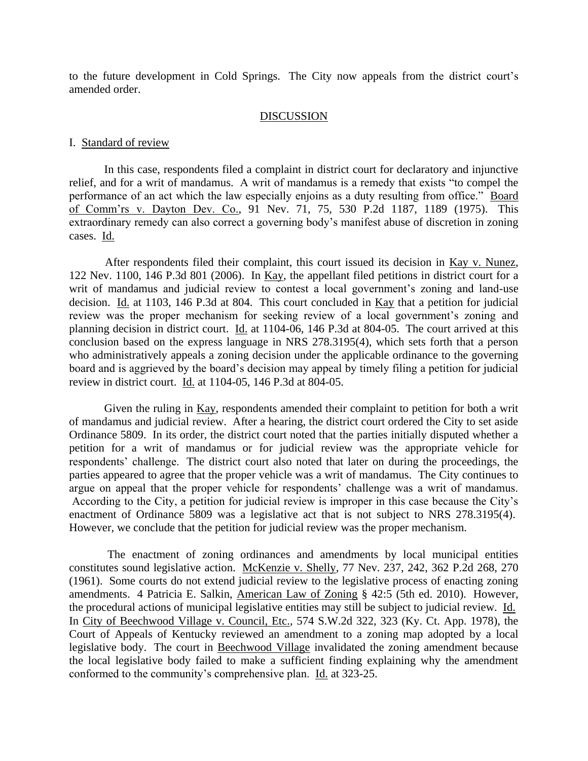to the future development in Cold Springs. The City now appeals from the district court's amended order.

#### DISCUSSION

#### I. Standard of review

 In this case, respondents filed a complaint in district court for declaratory and injunctive relief, and for a writ of mandamus. A writ of mandamus is a remedy that exists "to compel the performance of an act which the law especially enjoins as a duty resulting from office." Board of Comm'rs v. Dayton Dev. Co., 91 Nev. 71, 75, 530 P.2d 1187, 1189 (1975). This extraordinary remedy can also correct a governing body's manifest abuse of discretion in zoning cases. Id.

 After respondents filed their complaint, this court issued its decision in Kay v. Nunez, 122 Nev. 1100, 146 P.3d 801 (2006). In Kay, the appellant filed petitions in district court for a writ of mandamus and judicial review to contest a local government's zoning and land-use decision. Id. at 1103, 146 P.3d at 804. This court concluded in Kay that a petition for judicial review was the proper mechanism for seeking review of a local government's zoning and planning decision in district court. Id. at 1104-06, 146 P.3d at 804-05. The court arrived at this conclusion based on the express language in NRS 278.3195(4), which sets forth that a person who administratively appeals a zoning decision under the applicable ordinance to the governing board and is aggrieved by the board's decision may appeal by timely filing a petition for judicial review in district court. Id. at 1104-05, 146 P.3d at 804-05.

 Given the ruling in Kay, respondents amended their complaint to petition for both a writ of mandamus and judicial review. After a hearing, the district court ordered the City to set aside Ordinance 5809. In its order, the district court noted that the parties initially disputed whether a petition for a writ of mandamus or for judicial review was the appropriate vehicle for respondents' challenge. The district court also noted that later on during the proceedings, the parties appeared to agree that the proper vehicle was a writ of mandamus. The City continues to argue on appeal that the proper vehicle for respondents' challenge was a writ of mandamus. According to the City, a petition for judicial review is improper in this case because the City's enactment of Ordinance 5809 was a legislative act that is not subject to NRS 278.3195(4). However, we conclude that the petition for judicial review was the proper mechanism.

 The enactment of zoning ordinances and amendments by local municipal entities constitutes sound legislative action. McKenzie v. Shelly, 77 Nev. 237, 242, 362 P.2d 268, 270 (1961). Some courts do not extend judicial review to the legislative process of enacting zoning amendments. 4 Patricia E. Salkin, American Law of Zoning § 42:5 (5th ed. 2010). However, the procedural actions of municipal legislative entities may still be subject to judicial review. Id. In City of Beechwood Village v. Council, Etc., 574 S.W.2d 322, 323 (Ky. Ct. App. 1978), the Court of Appeals of Kentucky reviewed an amendment to a zoning map adopted by a local legislative body. The court in Beechwood Village invalidated the zoning amendment because the local legislative body failed to make a sufficient finding explaining why the amendment conformed to the community's comprehensive plan. Id. at 323-25.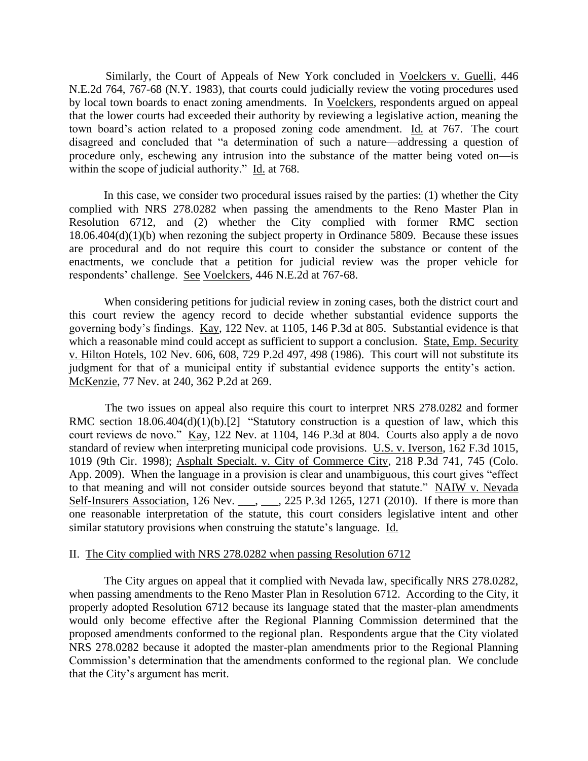Similarly, the Court of Appeals of New York concluded in Voelckers v. Guelli, 446 N.E.2d 764, 767-68 (N.Y. 1983), that courts could judicially review the voting procedures used by local town boards to enact zoning amendments. In Voelckers, respondents argued on appeal that the lower courts had exceeded their authority by reviewing a legislative action, meaning the town board's action related to a proposed zoning code amendment. Id. at 767. The court disagreed and concluded that "a determination of such a nature—addressing a question of procedure only, eschewing any intrusion into the substance of the matter being voted on—is within the scope of judicial authority." Id. at 768.

 In this case, we consider two procedural issues raised by the parties: (1) whether the City complied with NRS 278.0282 when passing the amendments to the Reno Master Plan in Resolution 6712, and (2) whether the City complied with former RMC section 18.06.404(d)(1)(b) when rezoning the subject property in Ordinance 5809. Because these issues are procedural and do not require this court to consider the substance or content of the enactments, we conclude that a petition for judicial review was the proper vehicle for respondents' challenge. See Voelckers, 446 N.E.2d at 767-68.

 When considering petitions for judicial review in zoning cases, both the district court and this court review the agency record to decide whether substantial evidence supports the governing body's findings. Kay, 122 Nev. at 1105, 146 P.3d at 805. Substantial evidence is that which a reasonable mind could accept as sufficient to support a conclusion. State, Emp. Security v. Hilton Hotels, 102 Nev. 606, 608, 729 P.2d 497, 498 (1986). This court will not substitute its judgment for that of a municipal entity if substantial evidence supports the entity's action. McKenzie, 77 Nev. at 240, 362 P.2d at 269.

 The two issues on appeal also require this court to interpret NRS 278.0282 and former RMC section  $18.06.404(d)(1)(b)[2]$  "Statutory construction is a question of law, which this court reviews de novo." Kay, 122 Nev. at 1104, 146 P.3d at 804. Courts also apply a de novo standard of review when interpreting municipal code provisions. U.S. v. Iverson, 162 F.3d 1015, 1019 (9th Cir. 1998); Asphalt Specialt. v. City of Commerce City, 218 P.3d 741, 745 (Colo. App. 2009). When the language in a provision is clear and unambiguous, this court gives "effect to that meaning and will not consider outside sources beyond that statute." NAIW v. Nevada Self-Insurers Association, 126 Nev. \_\_\_, \_\_\_, 225 P.3d 1265, 1271 (2010). If there is more than one reasonable interpretation of the statute, this court considers legislative intent and other similar statutory provisions when construing the statute's language. Id.

#### II. The City complied with NRS 278.0282 when passing Resolution 6712

 The City argues on appeal that it complied with Nevada law, specifically NRS 278.0282, when passing amendments to the Reno Master Plan in Resolution 6712. According to the City, it properly adopted Resolution 6712 because its language stated that the master-plan amendments would only become effective after the Regional Planning Commission determined that the proposed amendments conformed to the regional plan. Respondents argue that the City violated NRS 278.0282 because it adopted the master-plan amendments prior to the Regional Planning Commission's determination that the amendments conformed to the regional plan. We conclude that the City's argument has merit.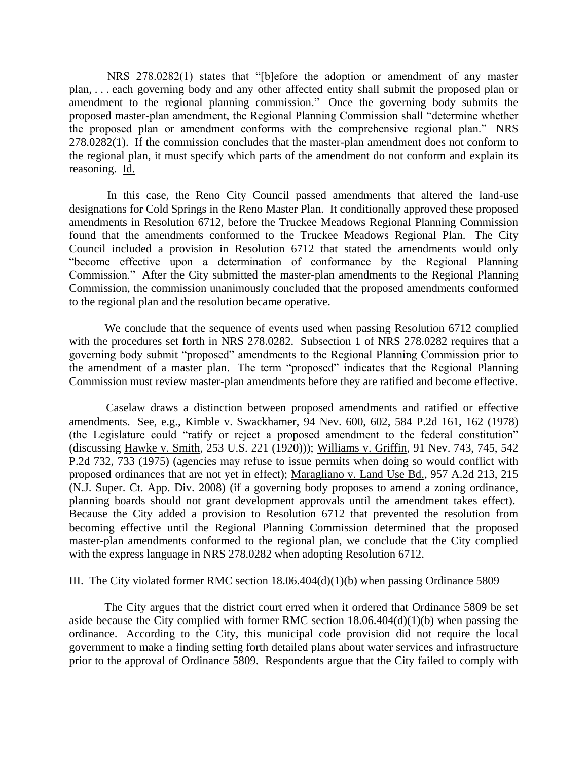NRS 278.0282(1) states that "[b]efore the adoption or amendment of any master plan, . . . each governing body and any other affected entity shall submit the proposed plan or amendment to the regional planning commission." Once the governing body submits the proposed master-plan amendment, the Regional Planning Commission shall "determine whether the proposed plan or amendment conforms with the comprehensive regional plan." NRS 278.0282(1). If the commission concludes that the master-plan amendment does not conform to the regional plan, it must specify which parts of the amendment do not conform and explain its reasoning. Id.

 In this case, the Reno City Council passed amendments that altered the land-use designations for Cold Springs in the Reno Master Plan. It conditionally approved these proposed amendments in Resolution 6712, before the Truckee Meadows Regional Planning Commission found that the amendments conformed to the Truckee Meadows Regional Plan. The City Council included a provision in Resolution 6712 that stated the amendments would only "become effective upon a determination of conformance by the Regional Planning Commission." After the City submitted the master-plan amendments to the Regional Planning Commission, the commission unanimously concluded that the proposed amendments conformed to the regional plan and the resolution became operative.

 We conclude that the sequence of events used when passing Resolution 6712 complied with the procedures set forth in NRS 278.0282. Subsection 1 of NRS 278.0282 requires that a governing body submit "proposed" amendments to the Regional Planning Commission prior to the amendment of a master plan. The term "proposed" indicates that the Regional Planning Commission must review master-plan amendments before they are ratified and become effective.

 Caselaw draws a distinction between proposed amendments and ratified or effective amendments. See, e.g., Kimble v. Swackhamer, 94 Nev. 600, 602, 584 P.2d 161, 162 (1978) (the Legislature could "ratify or reject a proposed amendment to the federal constitution" (discussing Hawke v. Smith, 253 U.S. 221 (1920))); Williams v. Griffin, 91 Nev. 743, 745, 542 P.2d 732, 733 (1975) (agencies may refuse to issue permits when doing so would conflict with proposed ordinances that are not yet in effect); Maragliano v. Land Use Bd., 957 A.2d 213, 215 (N.J. Super. Ct. App. Div. 2008) (if a governing body proposes to amend a zoning ordinance, planning boards should not grant development approvals until the amendment takes effect). Because the City added a provision to Resolution 6712 that prevented the resolution from becoming effective until the Regional Planning Commission determined that the proposed master-plan amendments conformed to the regional plan, we conclude that the City complied with the express language in NRS 278.0282 when adopting Resolution 6712.

#### III. The City violated former RMC section 18.06.404(d)(1)(b) when passing Ordinance 5809

 The City argues that the district court erred when it ordered that Ordinance 5809 be set aside because the City complied with former RMC section  $18.06.404(d)(1)(b)$  when passing the ordinance. According to the City, this municipal code provision did not require the local government to make a finding setting forth detailed plans about water services and infrastructure prior to the approval of Ordinance 5809. Respondents argue that the City failed to comply with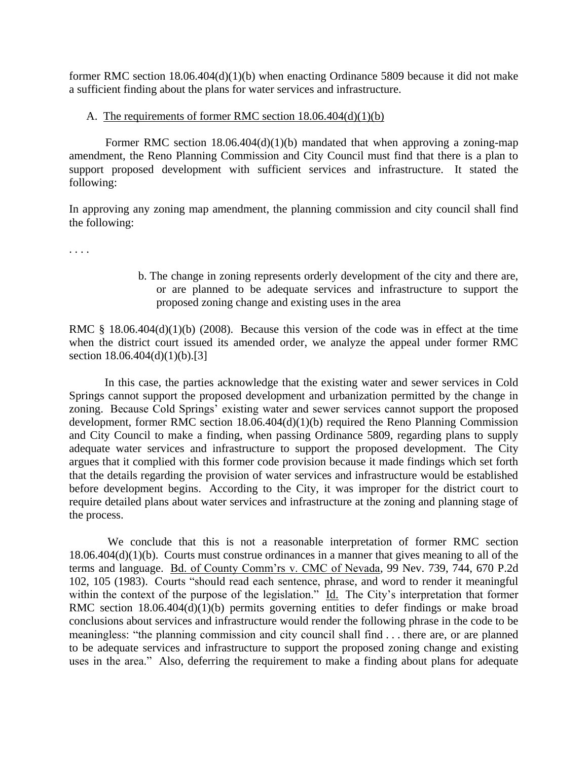former RMC section  $18.06.404(d)(1)(b)$  when enacting Ordinance 5809 because it did not make a sufficient finding about the plans for water services and infrastructure.

# A. The requirements of former RMC section 18.06.404(d)(1)(b)

Former RMC section  $18.06.404(d)(1)(b)$  mandated that when approving a zoning-map amendment, the Reno Planning Commission and City Council must find that there is a plan to support proposed development with sufficient services and infrastructure. It stated the following:

In approving any zoning map amendment, the planning commission and city council shall find the following:

. . . .

b. The change in zoning represents orderly development of the city and there are, or are planned to be adequate services and infrastructure to support the proposed zoning change and existing uses in the area

RMC § 18.06.404(d)(1)(b) (2008). Because this version of the code was in effect at the time when the district court issued its amended order, we analyze the appeal under former RMC section 18.06.404(d)(1)(b).[3]

 In this case, the parties acknowledge that the existing water and sewer services in Cold Springs cannot support the proposed development and urbanization permitted by the change in zoning. Because Cold Springs' existing water and sewer services cannot support the proposed development, former RMC section 18.06.404(d)(1)(b) required the Reno Planning Commission and City Council to make a finding, when passing Ordinance 5809, regarding plans to supply adequate water services and infrastructure to support the proposed development. The City argues that it complied with this former code provision because it made findings which set forth that the details regarding the provision of water services and infrastructure would be established before development begins. According to the City, it was improper for the district court to require detailed plans about water services and infrastructure at the zoning and planning stage of the process.

 We conclude that this is not a reasonable interpretation of former RMC section 18.06.404(d)(1)(b). Courts must construe ordinances in a manner that gives meaning to all of the terms and language. Bd. of County Comm'rs v. CMC of Nevada, 99 Nev. 739, 744, 670 P.2d 102, 105 (1983). Courts "should read each sentence, phrase, and word to render it meaningful within the context of the purpose of the legislation." Id. The City's interpretation that former RMC section 18.06.404(d)(1)(b) permits governing entities to defer findings or make broad conclusions about services and infrastructure would render the following phrase in the code to be meaningless: "the planning commission and city council shall find . . . there are, or are planned to be adequate services and infrastructure to support the proposed zoning change and existing uses in the area." Also, deferring the requirement to make a finding about plans for adequate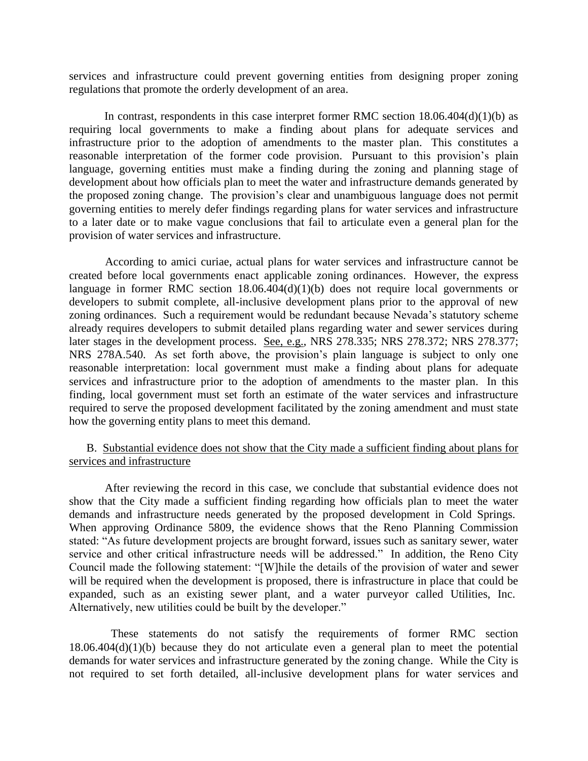services and infrastructure could prevent governing entities from designing proper zoning regulations that promote the orderly development of an area.

In contrast, respondents in this case interpret former RMC section  $18.06.404(d)(1)(b)$  as requiring local governments to make a finding about plans for adequate services and infrastructure prior to the adoption of amendments to the master plan. This constitutes a reasonable interpretation of the former code provision. Pursuant to this provision's plain language, governing entities must make a finding during the zoning and planning stage of development about how officials plan to meet the water and infrastructure demands generated by the proposed zoning change. The provision's clear and unambiguous language does not permit governing entities to merely defer findings regarding plans for water services and infrastructure to a later date or to make vague conclusions that fail to articulate even a general plan for the provision of water services and infrastructure.

 According to amici curiae, actual plans for water services and infrastructure cannot be created before local governments enact applicable zoning ordinances. However, the express language in former RMC section 18.06.404(d)(1)(b) does not require local governments or developers to submit complete, all-inclusive development plans prior to the approval of new zoning ordinances. Such a requirement would be redundant because Nevada's statutory scheme already requires developers to submit detailed plans regarding water and sewer services during later stages in the development process. See, e.g., NRS 278.335; NRS 278.372; NRS 278.377; NRS 278A.540. As set forth above, the provision's plain language is subject to only one reasonable interpretation: local government must make a finding about plans for adequate services and infrastructure prior to the adoption of amendments to the master plan. In this finding, local government must set forth an estimate of the water services and infrastructure required to serve the proposed development facilitated by the zoning amendment and must state how the governing entity plans to meet this demand.

# B. Substantial evidence does not show that the City made a sufficient finding about plans for services and infrastructure

 After reviewing the record in this case, we conclude that substantial evidence does not show that the City made a sufficient finding regarding how officials plan to meet the water demands and infrastructure needs generated by the proposed development in Cold Springs. When approving Ordinance 5809, the evidence shows that the Reno Planning Commission stated: "As future development projects are brought forward, issues such as sanitary sewer, water service and other critical infrastructure needs will be addressed." In addition, the Reno City Council made the following statement: "[W]hile the details of the provision of water and sewer will be required when the development is proposed, there is infrastructure in place that could be expanded, such as an existing sewer plant, and a water purveyor called Utilities, Inc. Alternatively, new utilities could be built by the developer."

 These statements do not satisfy the requirements of former RMC section  $18.06.404(d)(1)(b)$  because they do not articulate even a general plan to meet the potential demands for water services and infrastructure generated by the zoning change. While the City is not required to set forth detailed, all-inclusive development plans for water services and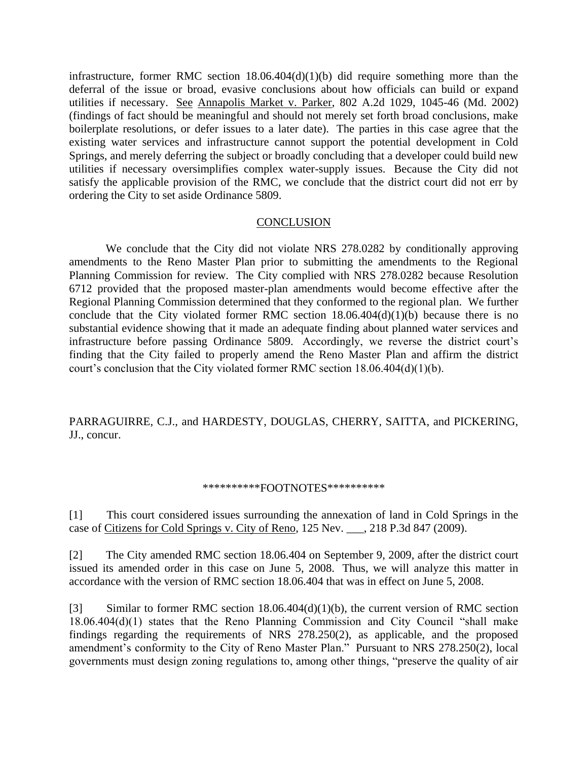infrastructure, former RMC section  $18.06.404(d)(1)(b)$  did require something more than the deferral of the issue or broad, evasive conclusions about how officials can build or expand utilities if necessary. See Annapolis Market v. Parker, 802 A.2d 1029, 1045-46 (Md. 2002) (findings of fact should be meaningful and should not merely set forth broad conclusions, make boilerplate resolutions, or defer issues to a later date). The parties in this case agree that the existing water services and infrastructure cannot support the potential development in Cold Springs, and merely deferring the subject or broadly concluding that a developer could build new utilities if necessary oversimplifies complex water-supply issues. Because the City did not satisfy the applicable provision of the RMC, we conclude that the district court did not err by ordering the City to set aside Ordinance 5809.

#### **CONCLUSION**

 We conclude that the City did not violate NRS 278.0282 by conditionally approving amendments to the Reno Master Plan prior to submitting the amendments to the Regional Planning Commission for review. The City complied with NRS 278.0282 because Resolution 6712 provided that the proposed master-plan amendments would become effective after the Regional Planning Commission determined that they conformed to the regional plan. We further conclude that the City violated former RMC section  $18.06.404(d)(1)(b)$  because there is no substantial evidence showing that it made an adequate finding about planned water services and infrastructure before passing Ordinance 5809. Accordingly, we reverse the district court's finding that the City failed to properly amend the Reno Master Plan and affirm the district court's conclusion that the City violated former RMC section  $18.06.404(d)(1)(b)$ .

PARRAGUIRRE, C.J., and HARDESTY, DOUGLAS, CHERRY, SAITTA, and PICKERING, JJ., concur.

#### \*\*\*\*\*\*\*\*\*\*FOOTNOTES\*\*\*\*\*\*\*\*\*\*

[1] This court considered issues surrounding the annexation of land in Cold Springs in the case of Citizens for Cold Springs v. City of Reno, 125 Nev. \_\_, 218 P.3d 847 (2009).

[2] The City amended RMC section 18.06.404 on September 9, 2009, after the district court issued its amended order in this case on June 5, 2008. Thus, we will analyze this matter in accordance with the version of RMC section 18.06.404 that was in effect on June 5, 2008.

[3] Similar to former RMC section 18.06.404(d)(1)(b), the current version of RMC section 18.06.404(d)(1) states that the Reno Planning Commission and City Council "shall make findings regarding the requirements of NRS 278.250(2), as applicable, and the proposed amendment's conformity to the City of Reno Master Plan." Pursuant to NRS 278.250(2), local governments must design zoning regulations to, among other things, "preserve the quality of air